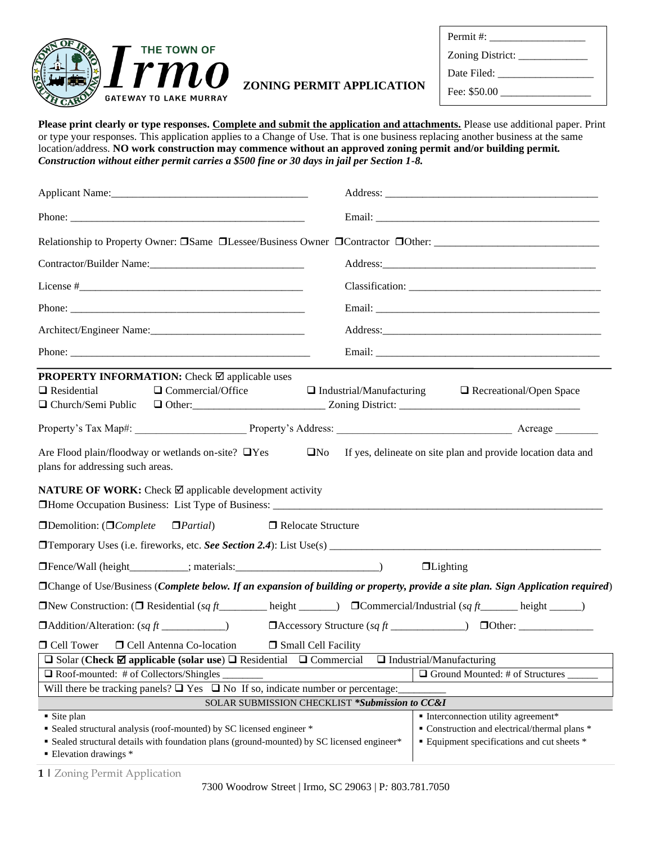

|                                  | $L$ <i>UHH</i> $L$ $L$ <sub>13</sub> $H$ <sub>14</sub> |
|----------------------------------|--------------------------------------------------------|
|                                  | Date Filed:                                            |
| <b>ZONING PERMIT APPLICATION</b> |                                                        |

# Permit #: Zoning District: \_\_\_\_\_\_\_\_\_\_\_\_\_ Date Filed: \_\_\_\_\_\_\_\_\_\_\_\_\_\_\_\_\_\_ Fee: \$50.00

**Please print clearly or type responses. Complete and submit the application and attachments.** Please use additional paper. Print or type your responses. This application applies to a Change of Use. That is one business replacing another business at the same location/address. **NO work construction may commence without an approved zoning permit and/or building permit***. Construction without either permit carries a \$500 fine or 30 days in jail per Section 1-8.*

| Applicant Name: 1980 Manual Manual Manual Manual Manual Manual Manual Manual Manual Manual Manual Manual Manua                                                                                                                     |                                                |                                                                |  |
|------------------------------------------------------------------------------------------------------------------------------------------------------------------------------------------------------------------------------------|------------------------------------------------|----------------------------------------------------------------|--|
|                                                                                                                                                                                                                                    |                                                |                                                                |  |
|                                                                                                                                                                                                                                    |                                                |                                                                |  |
|                                                                                                                                                                                                                                    |                                                |                                                                |  |
|                                                                                                                                                                                                                                    |                                                | Classification:                                                |  |
|                                                                                                                                                                                                                                    |                                                |                                                                |  |
|                                                                                                                                                                                                                                    |                                                |                                                                |  |
|                                                                                                                                                                                                                                    |                                                |                                                                |  |
| <b>PROPERTY INFORMATION:</b> Check $\boxtimes$ applicable uses<br>$\Box$ Commercial/Office<br>$\Box$ Residential<br>□ Church/Semi Public                                                                                           |                                                | $\Box$ Industrial/Manufacturing $\Box$ Recreational/Open Space |  |
|                                                                                                                                                                                                                                    |                                                |                                                                |  |
| Are Flood plain/floodway or wetlands on-site? □Yes<br>plans for addressing such areas.                                                                                                                                             | $\square$ No                                   | If yes, delineate on site plan and provide location data and   |  |
| <b>NATURE OF WORK:</b> Check $\boxtimes$ applicable development activity                                                                                                                                                           |                                                |                                                                |  |
| <b>IDemolition:</b> ( <i>IComplete IPartial</i> )                                                                                                                                                                                  | □ Relocate Structure                           |                                                                |  |
|                                                                                                                                                                                                                                    |                                                |                                                                |  |
|                                                                                                                                                                                                                                    |                                                | $\Box$ Lighting                                                |  |
| □Change of Use/Business (Complete below. If an expansion of building or property, provide a site plan. Sign Application required)                                                                                                  |                                                |                                                                |  |
| <b>ONEX</b> Construction: (O Residential (sq ft https://www.philosophysical/Industrial (sq ft https://www.philosophysical/Industrial (sq ft https://www.philosophysical/Industrial (sq ft https://www.philosophysical/Industrial ( |                                                |                                                                |  |
| $\Box$ Addition/Alteration: $(sqft$ <sub>__________</sub> ____)                                                                                                                                                                    |                                                |                                                                |  |
| □ Cell Tower<br><b>D</b> Cell Antenna Co-location                                                                                                                                                                                  | <b>Small Cell Facility</b>                     |                                                                |  |
| □ Solar (Check $\boxtimes$ applicable (solar use) □ Residential □ Commercial □ Industrial/Manufacturing<br>$\Box$ Roof-mounted: # of Collectors/Shingles                                                                           |                                                | □ Ground Mounted: # of Structures                              |  |
| Will there be tracking panels? $\Box$ Yes $\Box$ No If so, indicate number or percentage:                                                                                                                                          |                                                |                                                                |  |
|                                                                                                                                                                                                                                    | SOLAR SUBMISSION CHECKLIST *Submission to CC&I |                                                                |  |
| Site plan                                                                                                                                                                                                                          |                                                | • Interconnection utility agreement*                           |  |
| • Sealed structural analysis (roof-mounted) by SC licensed engineer *                                                                                                                                                              |                                                | • Construction and electrical/thermal plans *                  |  |
| • Sealed structural details with foundation plans (ground-mounted) by SC licensed engineer*                                                                                                                                        |                                                | <b>Equipment specifications and cut sheets *</b>               |  |
| • Elevation drawings *                                                                                                                                                                                                             |                                                |                                                                |  |

**1 |** Zoning Permit Application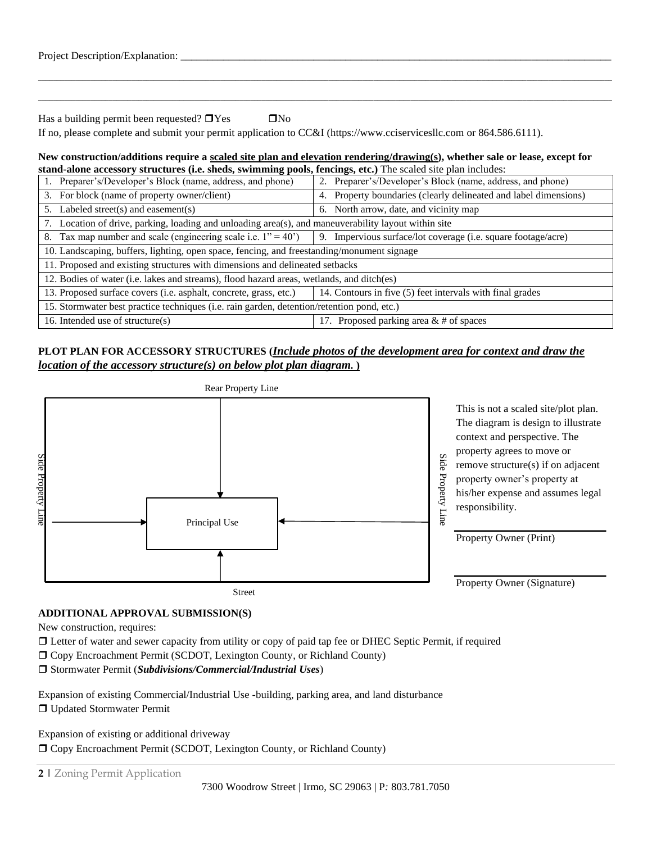| Project Description/Explanation: |  |  |  |
|----------------------------------|--|--|--|
|                                  |  |  |  |
|                                  |  |  |  |

\_\_\_\_\_\_\_\_\_\_\_\_\_\_\_\_\_\_\_\_\_\_\_\_\_\_\_\_\_\_\_\_\_\_\_\_\_\_\_\_\_\_\_\_\_\_\_\_\_\_\_\_\_\_\_\_\_\_\_\_\_\_\_\_\_\_\_\_\_\_\_\_\_\_\_\_\_\_\_\_\_\_\_\_\_\_\_\_\_\_\_\_\_\_\_\_\_\_\_\_\_\_\_\_\_\_\_\_\_\_\_\_\_\_\_\_\_\_\_\_\_\_\_\_\_\_\_\_\_\_\_\_\_\_\_\_\_\_\_\_\_\_\_\_\_\_\_\_\_\_\_\_\_\_

Has a building permit been requested?  $\Box$  Yes  $\Box$  No

If no, please complete and submit your permit application to CC&I [\(https://www.cciservicesllc.com](https://www.cciservicesllc.com/) or [864.586.6111\)](tel:(864)%20586-6111).

#### **New construction/additions require a scaled site plan and elevation rendering/drawing(s), whether sale or lease, except for stand-alone accessory structures (i.e. sheds, swimming pools, fencings, etc.)** The scaled site plan includes:

| 1. Preparer's/Developer's Block (name, address, and phone)                                           | 2. Preparer's/Developer's Block (name, address, and phone)    |  |  |  |
|------------------------------------------------------------------------------------------------------|---------------------------------------------------------------|--|--|--|
| For block (name of property owner/client)<br>3.                                                      | Property boundaries (clearly delineated and label dimensions) |  |  |  |
| Labeled street(s) and easement(s)<br>5.                                                              | 6. North arrow, date, and vicinity map                        |  |  |  |
| 7. Location of drive, parking, loading and unloading area(s), and maneuverability layout within site |                                                               |  |  |  |
| 8. Tax map number and scale (engineering scale i.e. $1" = 40'$ )                                     | 9. Impervious surface/lot coverage (i.e. square footage/acre) |  |  |  |
| 10. Landscaping, buffers, lighting, open space, fencing, and freestanding/monument signage           |                                                               |  |  |  |
| 11. Proposed and existing structures with dimensions and delineated setbacks                         |                                                               |  |  |  |
| 12. Bodies of water (i.e. lakes and streams), flood hazard areas, wetlands, and ditch(es)            |                                                               |  |  |  |
| 13. Proposed surface covers (i.e. asphalt, concrete, grass, etc.)                                    | 14. Contours in five (5) feet intervals with final grades     |  |  |  |
| 15. Stormwater best practice techniques (i.e. rain garden, detention/retention pond, etc.)           |                                                               |  |  |  |
| 16. Intended use of structure(s)                                                                     | 17. Proposed parking area $&$ # of spaces                     |  |  |  |

## **PLOT PLAN FOR ACCESSORY STRUCTURES (***Include photos of the development area for context and draw the location of the accessory structure(s) on below plot plan diagram.* **)**



## **ADDITIONAL APPROVAL SUBMISSION(S)**

New construction, requires:

Letter of water and sewer capacity from utility or copy of paid tap fee or DHEC Septic Permit, if required

Copy Encroachment Permit (SCDOT, Lexington County, or Richland County)

Stormwater Permit (*Subdivisions/Commercial/Industrial Uses*)

Expansion of existing Commercial/Industrial Use -building, parking area, and land disturbance Updated Stormwater Permit

Expansion of existing or additional driveway Copy Encroachment Permit (SCDOT, Lexington County, or Richland County)

**2 |** Zoning Permit Application

7300 Woodrow Street | Irmo, SC 29063 | P*:* 803.781.7050